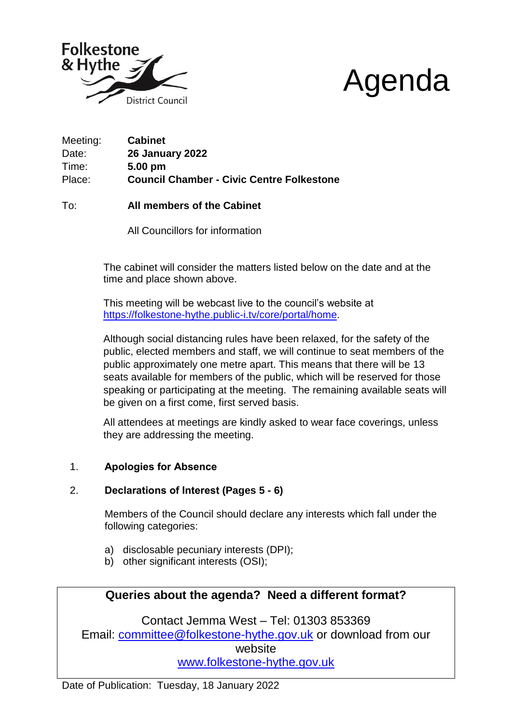



Meeting: **Cabinet** Date: **26 January 2022** Time: **5.00 pm** Place: **Council Chamber - Civic Centre Folkestone**

To: **All members of the Cabinet**

All Councillors for information

The cabinet will consider the matters listed below on the date and at the time and place shown above.

This meeting will be webcast live to the council's website at [https://folkestone-hythe.public-i.tv/core/portal/home.](https://shepway.public-i.tv/core/portal/home)

Although social distancing rules have been relaxed, for the safety of the public, elected members and staff, we will continue to seat members of the public approximately one metre apart. This means that there will be 13 seats available for members of the public, which will be reserved for those speaking or participating at the meeting. The remaining available seats will be given on a first come, first served basis.

All attendees at meetings are kindly asked to wear face coverings, unless they are addressing the meeting.

# 1. **Apologies for Absence**

# 2. **Declarations of Interest (Pages 5 - 6)**

Members of the Council should declare any interests which fall under the following categories:

- a) disclosable pecuniary interests (DPI);
- b) other significant interests (OSI);

# **Queries about the agenda? Need a different format?**

Contact Jemma West – Tel: 01303 853369 Email: [committee@folkestone-hythe.gov.uk](mailto:committee@folkestone-hythe.gov.uk) or download from our website [www.folkestone-hythe.gov.uk](http://www.folkestone-hythe.gov.uk/)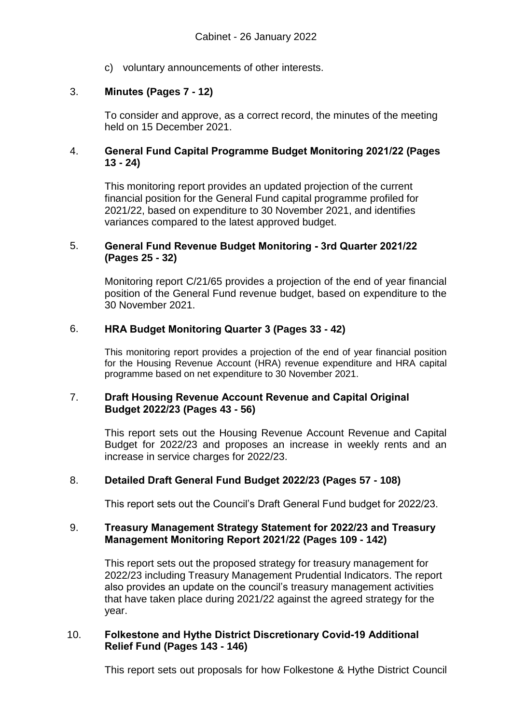c) voluntary announcements of other interests.

### 3. **Minutes (Pages 7 - 12)**

To consider and approve, as a correct record, the minutes of the meeting held on 15 December 2021.

### 4. **General Fund Capital Programme Budget Monitoring 2021/22 (Pages 13 - 24)**

This monitoring report provides an updated projection of the current financial position for the General Fund capital programme profiled for 2021/22, based on expenditure to 30 November 2021, and identifies variances compared to the latest approved budget.

#### 5. **General Fund Revenue Budget Monitoring - 3rd Quarter 2021/22 (Pages 25 - 32)**

Monitoring report C/21/65 provides a projection of the end of year financial position of the General Fund revenue budget, based on expenditure to the 30 November 2021.

#### 6. **HRA Budget Monitoring Quarter 3 (Pages 33 - 42)**

This monitoring report provides a projection of the end of year financial position for the Housing Revenue Account (HRA) revenue expenditure and HRA capital programme based on net expenditure to 30 November 2021.

#### 7. **Draft Housing Revenue Account Revenue and Capital Original Budget 2022/23 (Pages 43 - 56)**

This report sets out the Housing Revenue Account Revenue and Capital Budget for 2022/23 and proposes an increase in weekly rents and an increase in service charges for 2022/23.

#### 8. **Detailed Draft General Fund Budget 2022/23 (Pages 57 - 108)**

This report sets out the Council's Draft General Fund budget for 2022/23.

#### 9. **Treasury Management Strategy Statement for 2022/23 and Treasury Management Monitoring Report 2021/22 (Pages 109 - 142)**

This report sets out the proposed strategy for treasury management for 2022/23 including Treasury Management Prudential Indicators. The report also provides an update on the council's treasury management activities that have taken place during 2021/22 against the agreed strategy for the year.

#### 10. **Folkestone and Hythe District Discretionary Covid-19 Additional Relief Fund (Pages 143 - 146)**

This report sets out proposals for how Folkestone & Hythe District Council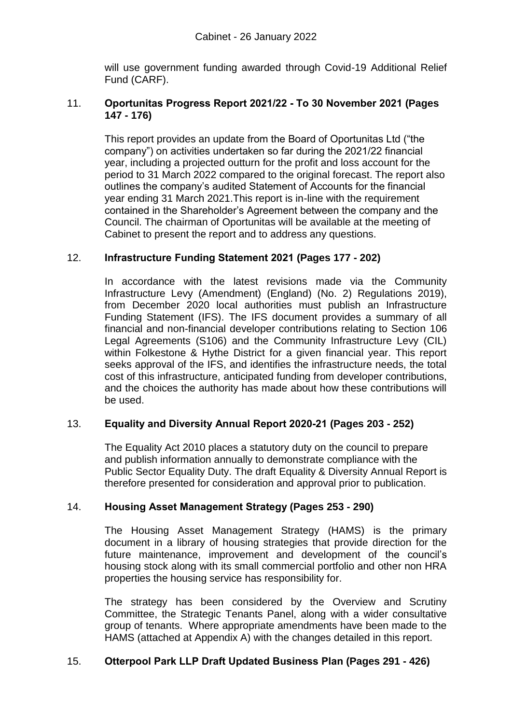will use government funding awarded through Covid-19 Additional Relief Fund (CARF).

### 11. **Oportunitas Progress Report 2021/22 - To 30 November 2021 (Pages 147 - 176)**

This report provides an update from the Board of Oportunitas Ltd ("the company") on activities undertaken so far during the 2021/22 financial year, including a projected outturn for the profit and loss account for the period to 31 March 2022 compared to the original forecast. The report also outlines the company's audited Statement of Accounts for the financial year ending 31 March 2021.This report is in-line with the requirement contained in the Shareholder's Agreement between the company and the Council. The chairman of Oportunitas will be available at the meeting of Cabinet to present the report and to address any questions.

# 12. **Infrastructure Funding Statement 2021 (Pages 177 - 202)**

In accordance with the latest revisions made via the Community Infrastructure Levy (Amendment) (England) (No. 2) Regulations 2019), from December 2020 local authorities must publish an Infrastructure Funding Statement (IFS). The IFS document provides a summary of all financial and non-financial developer contributions relating to Section 106 Legal Agreements (S106) and the Community Infrastructure Levy (CIL) within Folkestone & Hythe District for a given financial year. This report seeks approval of the IFS, and identifies the infrastructure needs, the total cost of this infrastructure, anticipated funding from developer contributions, and the choices the authority has made about how these contributions will be used.

# 13. **Equality and Diversity Annual Report 2020-21 (Pages 203 - 252)**

The Equality Act 2010 places a statutory duty on the council to prepare and publish information annually to demonstrate compliance with the Public Sector Equality Duty. The draft Equality & Diversity Annual Report is therefore presented for consideration and approval prior to publication.

#### 14. **Housing Asset Management Strategy (Pages 253 - 290)**

The Housing Asset Management Strategy (HAMS) is the primary document in a library of housing strategies that provide direction for the future maintenance, improvement and development of the council's housing stock along with its small commercial portfolio and other non HRA properties the housing service has responsibility for.

The strategy has been considered by the Overview and Scrutiny Committee, the Strategic Tenants Panel, along with a wider consultative group of tenants. Where appropriate amendments have been made to the HAMS (attached at Appendix A) with the changes detailed in this report.

#### 15. **Otterpool Park LLP Draft Updated Business Plan (Pages 291 - 426)**